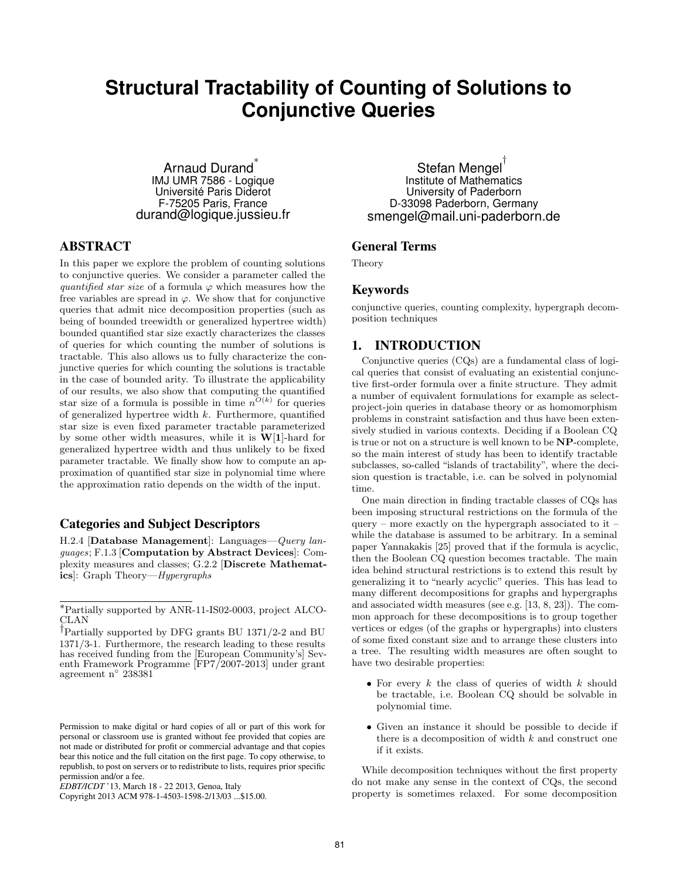# **Structural Tractability of Counting of Solutions to Conjunctive Queries**

Arnaud Durand<sup>\*</sup> IMJ UMR 7586 - Logique Université Paris Diderot F-75205 Paris, France durand@logique.jussieu.fr

# ABSTRACT

In this paper we explore the problem of counting solutions to conjunctive queries. We consider a parameter called the quantified star size of a formula  $\varphi$  which measures how the free variables are spread in  $\varphi$ . We show that for conjunctive queries that admit nice decomposition properties (such as being of bounded treewidth or generalized hypertree width) bounded quantified star size exactly characterizes the classes of queries for which counting the number of solutions is tractable. This also allows us to fully characterize the conjunctive queries for which counting the solutions is tractable in the case of bounded arity. To illustrate the applicability of our results, we also show that computing the quantified star size of a formula is possible in time  $n^{O(k)}$  for queries of generalized hypertree width  $k$ . Furthermore, quantified star size is even fixed parameter tractable parameterized by some other width measures, while it is  $W[1]$ -hard for generalized hypertree width and thus unlikely to be fixed parameter tractable. We finally show how to compute an approximation of quantified star size in polynomial time where the approximation ratio depends on the width of the input.

## Categories and Subject Descriptors

H.2.4 [Database Management]: Languages—Query languages; F.1.3 [Computation by Abstract Devices]: Complexity measures and classes; G.2.2 [Discrete Mathematics]: Graph Theory—Hypergraphs

Stefan Mengel † Institute of Mathematics University of Paderborn D-33098 Paderborn, Germany smengel@mail.uni-paderborn.de

# General Terms

Theory

## Keywords

conjunctive queries, counting complexity, hypergraph decomposition techniques

### 1. INTRODUCTION

Conjunctive queries (CQs) are a fundamental class of logical queries that consist of evaluating an existential conjunctive first-order formula over a finite structure. They admit a number of equivalent formulations for example as selectproject-join queries in database theory or as homomorphism problems in constraint satisfaction and thus have been extensively studied in various contexts. Deciding if a Boolean CQ is true or not on a structure is well known to be NP-complete, so the main interest of study has been to identify tractable subclasses, so-called "islands of tractability", where the decision question is tractable, i.e. can be solved in polynomial time.

One main direction in finding tractable classes of CQs has been imposing structural restrictions on the formula of the query – more exactly on the hypergraph associated to it – while the database is assumed to be arbitrary. In a seminal paper Yannakakis [25] proved that if the formula is acyclic, then the Boolean CQ question becomes tractable. The main idea behind structural restrictions is to extend this result by generalizing it to "nearly acyclic" queries. This has lead to many different decompositions for graphs and hypergraphs and associated width measures (see e.g. [13, 8, 23]). The common approach for these decompositions is to group together vertices or edges (of the graphs or hypergraphs) into clusters of some fixed constant size and to arrange these clusters into a tree. The resulting width measures are often sought to have two desirable properties:

- For every  $k$  the class of queries of width  $k$  should be tractable, i.e. Boolean CQ should be solvable in polynomial time.
- Given an instance it should be possible to decide if there is a decomposition of width  $k$  and construct one if it exists.

While decomposition techniques without the first property do not make any sense in the context of CQs, the second property is sometimes relaxed. For some decomposition

<sup>∗</sup>Partially supported by ANR-11-IS02-0003, project ALCO-CLAN

<sup>†</sup>Partially supported by DFG grants BU 1371/2-2 and BU 1371/3-1. Furthermore, the research leading to these results has received funding from the [European Community's] Seventh Framework Programme [FP7/2007-2013] under grant agreement n◦ 238381

Permission to make digital or hard copies of all or part of this work for personal or classroom use is granted without fee provided that copies are not made or distributed for profit or commercial advantage and that copies bear this notice and the full citation on the first page. To copy otherwise, to republish, to post on servers or to redistribute to lists, requires prior specific permission and/or a fee.

*EDBT/ICDT* '13, March 18 - 22 2013, Genoa, Italy

Copyright 2013 ACM 978-1-4503-1598-2/13/03 ...\$15.00.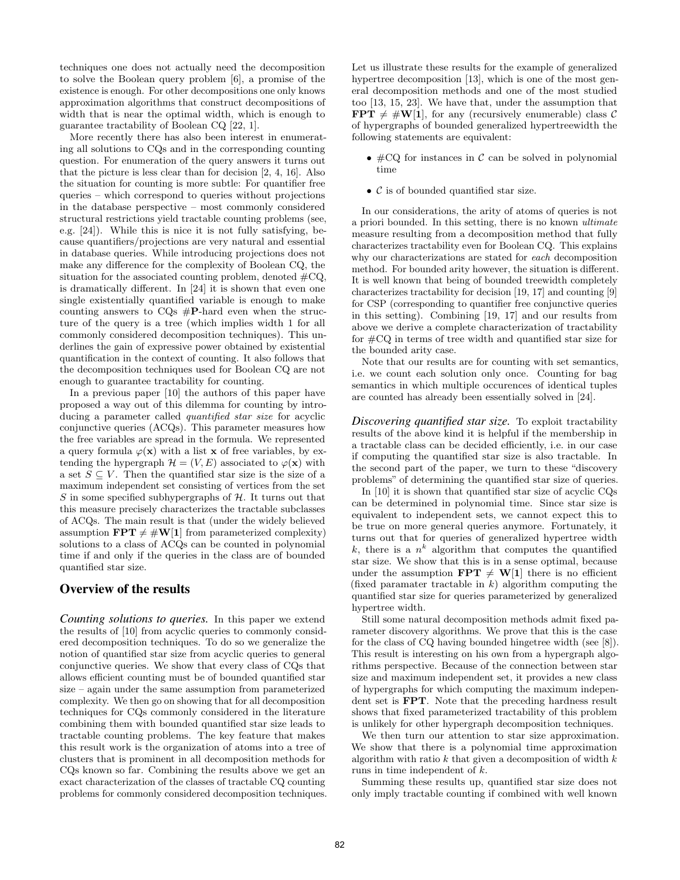techniques one does not actually need the decomposition to solve the Boolean query problem [6], a promise of the existence is enough. For other decompositions one only knows approximation algorithms that construct decompositions of width that is near the optimal width, which is enough to guarantee tractability of Boolean CQ [22, 1].

More recently there has also been interest in enumerating all solutions to CQs and in the corresponding counting question. For enumeration of the query answers it turns out that the picture is less clear than for decision [2, 4, 16]. Also the situation for counting is more subtle: For quantifier free queries – which correspond to queries without projections in the database perspective – most commonly considered structural restrictions yield tractable counting problems (see, e.g. [24]). While this is nice it is not fully satisfying, because quantifiers/projections are very natural and essential in database queries. While introducing projections does not make any difference for the complexity of Boolean CQ, the situation for the associated counting problem, denoted  $\#CQ$ , is dramatically different. In [24] it is shown that even one single existentially quantified variable is enough to make counting answers to CQs #P-hard even when the structure of the query is a tree (which implies width 1 for all commonly considered decomposition techniques). This underlines the gain of expressive power obtained by existential quantification in the context of counting. It also follows that the decomposition techniques used for Boolean CQ are not enough to guarantee tractability for counting.

In a previous paper [10] the authors of this paper have proposed a way out of this dilemma for counting by introducing a parameter called *quantified star size* for acyclic conjunctive queries (ACQs). This parameter measures how the free variables are spread in the formula. We represented a query formula  $\varphi(\mathbf{x})$  with a list **x** of free variables, by extending the hypergraph  $\mathcal{H} = (V, E)$  associated to  $\varphi(\mathbf{x})$  with a set  $S \subseteq V$ . Then the quantified star size is the size of a maximum independent set consisting of vertices from the set S in some specified subhypergraphs of  $H$ . It turns out that this measure precisely characterizes the tractable subclasses of ACQs. The main result is that (under the widely believed assumption  $\mathbf{FPT} \neq \#W[1]$  from parameterized complexity) solutions to a class of ACQs can be counted in polynomial time if and only if the queries in the class are of bounded quantified star size.

# Overview of the results

*Counting solutions to queries.* In this paper we extend the results of [10] from acyclic queries to commonly considered decomposition techniques. To do so we generalize the notion of quantified star size from acyclic queries to general conjunctive queries. We show that every class of CQs that allows efficient counting must be of bounded quantified star size – again under the same assumption from parameterized complexity. We then go on showing that for all decomposition techniques for CQs commonly considered in the literature combining them with bounded quantified star size leads to tractable counting problems. The key feature that makes this result work is the organization of atoms into a tree of clusters that is prominent in all decomposition methods for CQs known so far. Combining the results above we get an exact characterization of the classes of tractable CQ counting problems for commonly considered decomposition techniques. Let us illustrate these results for the example of generalized hypertree decomposition [13], which is one of the most general decomposition methods and one of the most studied too [13, 15, 23]. We have that, under the assumption that  $\text{FPT} \neq #W[1]$ , for any (recursively enumerable) class C of hypergraphs of bounded generalized hypertreewidth the following statements are equivalent:

- $\#CQ$  for instances in C can be solved in polynomial time
- $\mathcal C$  is of bounded quantified star size.

In our considerations, the arity of atoms of queries is not a priori bounded. In this setting, there is no known ultimate measure resulting from a decomposition method that fully characterizes tractability even for Boolean CQ. This explains why our characterizations are stated for each decomposition method. For bounded arity however, the situation is different. It is well known that being of bounded treewidth completely characterizes tractability for decision [19, 17] and counting [9] for CSP (corresponding to quantifier free conjunctive queries in this setting). Combining [19, 17] and our results from above we derive a complete characterization of tractability for #CQ in terms of tree width and quantified star size for the bounded arity case.

Note that our results are for counting with set semantics, i.e. we count each solution only once. Counting for bag semantics in which multiple occurences of identical tuples are counted has already been essentially solved in [24].

*Discovering quantified star size.* To exploit tractability results of the above kind it is helpful if the membership in a tractable class can be decided efficiently, i.e. in our case if computing the quantified star size is also tractable. In the second part of the paper, we turn to these "discovery problems" of determining the quantified star size of queries.

In [10] it is shown that quantified star size of acyclic CQs can be determined in polynomial time. Since star size is equivalent to independent sets, we cannot expect this to be true on more general queries anymore. Fortunately, it turns out that for queries of generalized hypertree width k, there is a  $n^k$  algorithm that computes the quantified star size. We show that this is in a sense optimal, because under the assumption  $\mathbf{FPT} \neq \mathbf{W}[1]$  there is no efficient (fixed paramater tractable in  $k$ ) algorithm computing the quantified star size for queries parameterized by generalized hypertree width.

Still some natural decomposition methods admit fixed parameter discovery algorithms. We prove that this is the case for the class of CQ having bounded hingetree width (see [8]). This result is interesting on his own from a hypergraph algorithms perspective. Because of the connection between star size and maximum independent set, it provides a new class of hypergraphs for which computing the maximum independent set is FPT. Note that the preceding hardness result shows that fixed parameterized tractability of this problem is unlikely for other hypergraph decomposition techniques.

We then turn our attention to star size approximation. We show that there is a polynomial time approximation algorithm with ratio  $k$  that given a decomposition of width  $k$ runs in time independent of k.

Summing these results up, quantified star size does not only imply tractable counting if combined with well known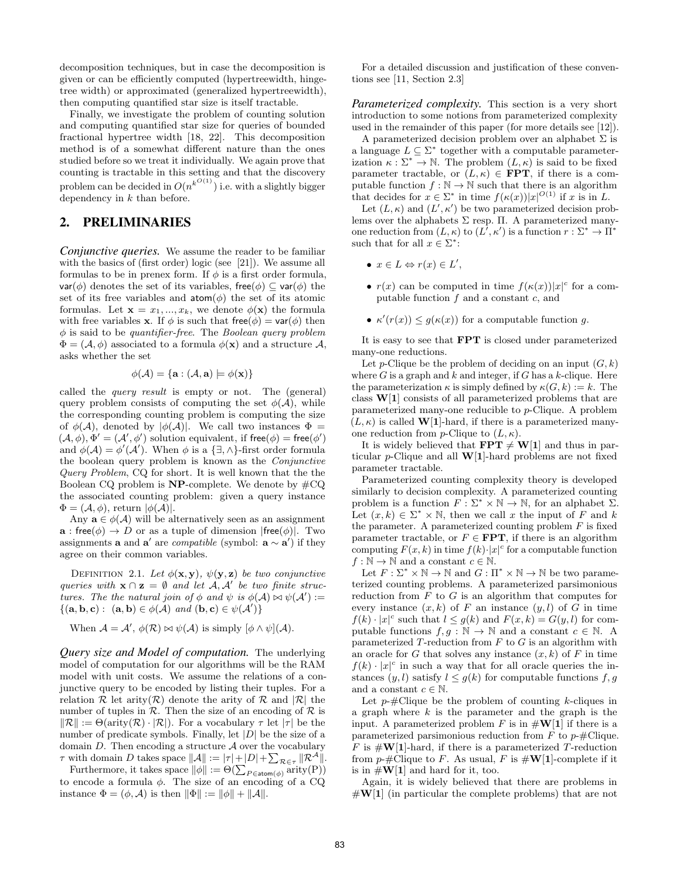decomposition techniques, but in case the decomposition is given or can be efficiently computed (hypertreewidth, hingetree width) or approximated (generalized hypertreewidth), then computing quantified star size is itself tractable.

Finally, we investigate the problem of counting solution and computing quantified star size for queries of bounded fractional hypertree width [18, 22]. This decomposition method is of a somewhat different nature than the ones studied before so we treat it individually. We again prove that counting is tractable in this setting and that the discovery problem can be decided in  $O(n^{k^{O(1)}})$  i.e. with a slightly bigger dependency in  $k$  than before.

# 2. PRELIMINARIES

*Conjunctive queries.* We assume the reader to be familiar with the basics of (first order) logic (see [21]). We assume all formulas to be in prenex form. If  $\phi$  is a first order formula,  $var(\phi)$  denotes the set of its variables, free( $\phi$ )  $\subseteq$  var $(\phi)$  the set of its free variables and  $atom(\phi)$  the set of its atomic formulas. Let  $\mathbf{x} = x_1, ..., x_k$ , we denote  $\phi(\mathbf{x})$  the formula with free variables **x**. If  $\phi$  is such that free( $\phi$ ) = **var**( $\phi$ ) then  $\phi$  is said to be quantifier-free. The Boolean query problem  $\Phi = (\mathcal{A}, \phi)$  associated to a formula  $\phi(\mathbf{x})$  and a structure  $\mathcal{A}$ , asks whether the set

$$
\phi(\mathcal{A}) = \{ \mathbf{a} : (\mathcal{A}, \mathbf{a}) \models \phi(\mathbf{x}) \}
$$

called the query result is empty or not. The (general) query problem consists of computing the set  $\phi(\mathcal{A})$ , while the corresponding counting problem is computing the size of  $\phi(\mathcal{A})$ , denoted by  $|\phi(\mathcal{A})|$ . We call two instances  $\Phi =$  $(\mathcal{A}, \phi), \Phi' = (\mathcal{A}', \phi')$  solution equivalent, if free( $\phi$ ) = free( $\phi'$ ) and  $\phi(\mathcal{A}) = \phi'(\mathcal{A}')$ . When  $\phi$  is a  $\{\exists, \wedge\}$ -first order formula the boolean query problem is known as the Conjunctive Query Problem, CQ for short. It is well known that the the Boolean CQ problem is  $NP$ -complete. We denote by  $\#CQ$ the associated counting problem: given a query instance  $\Phi = (\mathcal{A}, \phi)$ , return  $|\phi(\mathcal{A})|$ .

Any  $\mathbf{a} \in \phi(\mathcal{A})$  will be alternatively seen as an assignment  $\mathbf{a}$  : free( $\phi$ )  $\rightarrow$  D or as a tuple of dimension |free( $\phi$ )|. Two assignments **a** and **a'** are *compatible* (symbol: **a**  $\sim$  **a'**) if they agree on their common variables.

DEFINITION 2.1. Let  $\phi(\mathbf{x}, \mathbf{y}), \psi(\mathbf{y}, \mathbf{z})$  be two conjunctive queries with  $\mathbf{x} \cap \mathbf{z} = \emptyset$  and let  $\mathcal{A}, \mathcal{A}'$  be two finite structures. The the natural join of  $\phi$  and  $\psi$  is  $\phi(\mathcal{A}) \bowtie \psi(\mathcal{A}') :=$  $\{(\mathbf{a}, \mathbf{b}, \mathbf{c}) : (\mathbf{a}, \mathbf{b}) \in \phi(\mathcal{A}) \text{ and } (\mathbf{b}, \mathbf{c}) \in \psi(\mathcal{A}')\}$ 

When  $\mathcal{A} = \mathcal{A}'$ ,  $\phi(\mathcal{R}) \bowtie \psi(\mathcal{A})$  is simply  $[\phi \land \psi](\mathcal{A})$ .

*Query size and Model of computation.* The underlying model of computation for our algorithms will be the RAM model with unit costs. We assume the relations of a conjunctive query to be encoded by listing their tuples. For a relation  $\mathcal R$  let arity( $\mathcal R$ ) denote the arity of  $\mathcal R$  and  $|\mathcal R|$  the number of tuples in  $\mathcal R$ . Then the size of an encoding of  $\mathcal R$  is  $\|\mathcal{R}\| := \Theta(\text{arity}(\mathcal{R}) \cdot |\mathcal{R}|)$ . For a vocabulary  $\tau$  let  $|\tau|$  be the number of predicate symbols. Finally, let  $|D|$  be the size of a domain  $D$ . Then encoding a structure  $A$  over the vocabulary  $\tau$  with domain D takes space  $||A|| := |\tau| + |D| + \sum_{\mathcal{R} \in \tau} ||\mathcal{R}^{\mathcal{A}}||.$ 

Furthermore, it takes space  $\|\phi\| := \Theta(\sum_{P \in \text{atom}(\phi)} \text{arity}(P))$ to encode a formula  $\phi$ . The size of an encoding of a CQ instance  $\Phi = (\phi, \mathcal{A})$  is then  $\|\Phi\| := \|\phi\| + \|\mathcal{A}\|$ .

For a detailed discussion and justification of these conventions see [11, Section 2.3]

*Parameterized complexity.* This section is a very short introduction to some notions from parameterized complexity used in the remainder of this paper (for more details see [12]).

A parameterized decision problem over an alphabet  $\Sigma$  is a language  $L \subseteq \Sigma^*$  together with a computable parameterization  $\kappa : \Sigma^* \to \mathbb{N}$ . The problem  $(L, \kappa)$  is said to be fixed parameter tractable, or  $(L, \kappa) \in \text{FPT}$ , if there is a computable function  $f : \mathbb{N} \to \mathbb{N}$  such that there is an algorithm that decides for  $x \in \Sigma^*$  in time  $f(\kappa(x))|x|^{O(1)}$  if x is in L.

Let  $(L, \kappa)$  and  $(L', \kappa')$  be two parameterized decision problems over the alphabets  $\Sigma$  resp. II. A parameterized manyone reduction from  $(L, \kappa)$  to  $(L', \kappa')$  is a function  $r : \Sigma^* \to \Pi^*$ such that for all  $x \in \Sigma^*$ :

- $x \in L \Leftrightarrow r(x) \in L',$
- $r(x)$  can be computed in time  $f(\kappa(x))|x|^c$  for a computable function  $f$  and a constant  $c$ , and
- $\kappa'(r(x)) \leq g(\kappa(x))$  for a computable function g.

It is easy to see that FPT is closed under parameterized many-one reductions.

Let p-Clique be the problem of deciding on an input  $(G, k)$ where G is a graph and k and integer, if G has a k-clique. Here the parameterization  $\kappa$  is simply defined by  $\kappa(G, k) := k$ . The class W[1] consists of all parameterized problems that are parameterized many-one reducible to p-Clique. A problem  $(L, \kappa)$  is called **W**[1]-hard, if there is a parameterized manyone reduction from p-Clique to  $(L, \kappa)$ .

It is widely believed that  $\mathbf{FPT}\neq \mathbf{W}[1]$  and thus in particular p-Clique and all  $W[1]$ -hard problems are not fixed parameter tractable.

Parameterized counting complexity theory is developed similarly to decision complexity. A parameterized counting problem is a function  $F : \Sigma^* \times \mathbb{N} \to \mathbb{N}$ , for an alphabet  $\Sigma$ . Let  $(x, k) \in \Sigma^* \times \mathbb{N}$ , then we call x the input of F and k the parameter. A parameterized counting problem  $F$  is fixed parameter tractable, or  $F \in \text{FPT}$ , if there is an algorithm computing  $F(x, k)$  in time  $f(k) \cdot |x|^c$  for a computable function  $f : \mathbb{N} \to \mathbb{N}$  and a constant  $c \in \mathbb{N}$ .

Let  $F: \Sigma^* \times \mathbb{N} \to \mathbb{N}$  and  $G: \Pi^* \times \mathbb{N} \to \mathbb{N}$  be two parameterized counting problems. A parameterized parsimonious reduction from  $F$  to  $G$  is an algorithm that computes for every instance  $(x, k)$  of F an instance  $(y, l)$  of G in time  $f(k) \cdot |x|^c$  such that  $l \leq g(k)$  and  $F(x, k) = G(y, l)$  for computable functions  $f, g : \mathbb{N} \to \mathbb{N}$  and a constant  $c \in \mathbb{N}$ . A parameterized  $T$ -reduction from  $F$  to  $G$  is an algorithm with an oracle for G that solves any instance  $(x, k)$  of F in time  $f(k) \cdot |x|^c$  in such a way that for all oracle queries the instances  $(y, l)$  satisfy  $l \leq g(k)$  for computable functions  $f, g$ and a constant  $c \in \mathbb{N}$ .

Let  $p$ -#Clique be the problem of counting k-cliques in a graph where  $k$  is the parameter and the graph is the input. A parameterized problem F is in  $\#W[1]$  if there is a parameterized parsimonious reduction from  $F$  to  $p$ -#Clique. F is  $\#W[1]$ -hard, if there is a parameterized T-reduction from  $p$ -#Clique to F. As usual, F is  $\#W[1]$ -complete if it is in  $\#W[1]$  and hard for it, too.

Again, it is widely believed that there are problems in  $\#W[1]$  (in particular the complete problems) that are not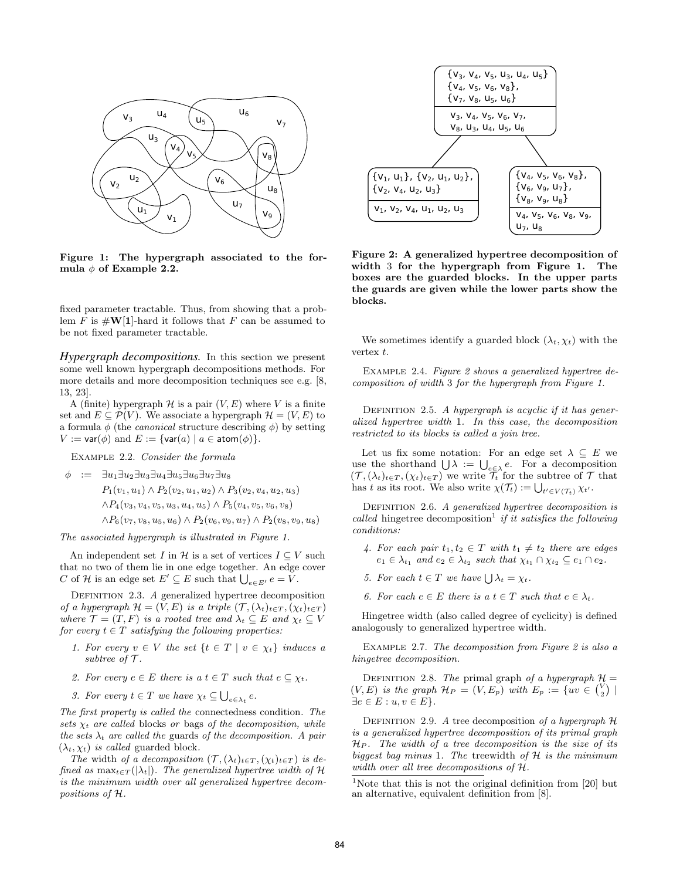

Figure 1: The hypergraph associated to the formula  $\phi$  of Example 2.2.

fixed parameter tractable. Thus, from showing that a problem F is  $\#W[1]$ -hard it follows that F can be assumed to be not fixed parameter tractable.

*Hypergraph decompositions.* In this section we present some well known hypergraph decompositions methods. For more details and more decomposition techniques see e.g. [8, 13, 23].

A (finite) hypergraph  $\mathcal H$  is a pair  $(V, E)$  where V is a finite set and  $E \subseteq \mathcal{P}(V)$ . We associate a hypergraph  $\mathcal{H} = (V, E)$  to a formula  $\phi$  (the *canonical* structure describing  $\phi$ ) by setting  $V := \text{var}(\phi)$  and  $E := \{\text{var}(a) \mid a \in \text{atom}(\phi)\}.$ 

Example 2.2. Consider the formula

$$
\begin{array}{rcl}\n\phi &:= & \exists u_1 \exists u_2 \exists u_3 \exists u_4 \exists u_5 \exists u_6 \exists u_7 \exists u_8 \\
P_1(v_1, u_1) \wedge P_2(v_2, u_1, u_2) \wedge P_3(v_2, v_4, u_2, u_3)\n\end{array}
$$

$$
\wedge P_4(v_3, v_4, v_5, u_3, u_4, u_5) \wedge P_5(v_4, v_5, v_6, v_8)
$$

 $\wedge P_6(v_7, v_8, u_5, u_6) \wedge P_2(v_6, v_9, u_7) \wedge P_2(v_8, v_9, u_8)$ 

The associated hypergraph is illustrated in Figure 1.

An independent set I in H is a set of vertices  $I \subseteq V$  such that no two of them lie in one edge together. An edge cover C of H is an edge set  $E' \subseteq E$  such that  $\bigcup_{e \in E'} e = V$ .

DEFINITION 2.3. A generalized hypertree decomposition of a hypergraph  $\mathcal{H} = (V, E)$  is a triple  $(\mathcal{T}, (\lambda_t)_{t \in T}, (\chi_t)_{t \in T})$ where  $\mathcal{T} = (T, F)$  is a rooted tree and  $\lambda_t \subseteq E$  and  $\chi_t \subseteq V$ for every  $t \in T$  satisfying the following properties:

- 1. For every  $v \in V$  the set  $\{t \in T \mid v \in \chi_t\}$  induces a subtree of  $\mathcal T$ .
- 2. For every  $e \in E$  there is a  $t \in T$  such that  $e \subseteq \chi_t$ .
- 3. For every  $t \in T$  we have  $\chi_t \subseteq \bigcup_{e \in \lambda_t} e$ .

The first property is called the connectedness condition. The sets  $\chi_t$  are called blocks or bags of the decomposition, while the sets  $\lambda_t$  are called the guards of the decomposition. A pair  $(\lambda_t, \chi_t)$  is called guarded block.

The width of a decomposition  $(\mathcal{T},(\lambda_t)_{t\in T},(\chi_t)_{t\in T})$  is defined as  $\max_{t \in T}(|\lambda_t|)$ . The generalized hypertree width of H is the minimum width over all generalized hypertree decompositions of H.



Figure 2: A generalized hypertree decomposition of width 3 for the hypergraph from Figure 1. The boxes are the guarded blocks. In the upper parts the guards are given while the lower parts show the blocks.

We sometimes identify a guarded block  $(\lambda_t, \chi_t)$  with the vertex t.

Example 2.4. Figure 2 shows a generalized hypertree decomposition of width 3 for the hypergraph from Figure 1.

DEFINITION 2.5. A hypergraph is acyclic if it has generalized hypertree width 1. In this case, the decomposition restricted to its blocks is called a join tree.

Let us fix some notation: For an edge set  $\lambda \subseteq E$  we use the shorthand  $\bigcup \lambda := \bigcup_{e \in \lambda} e$ . For a decomposition  $(\mathcal{T},(\lambda_t)_{t\in T},(\chi_t)_{t\in T})$  we write  $\mathcal{T}_t$  for the subtree of  $\mathcal{T}$  that has t as its root. We also write  $\chi(\mathcal{T}_t) := \bigcup_{t' \in V(\mathcal{T}_t)} \chi_{t'}$ .

DEFINITION 2.6. A generalized hypertree decomposition is called hingetree decomposition<sup>1</sup> if it satisfies the following conditions:

- 4. For each pair  $t_1, t_2 \in T$  with  $t_1 \neq t_2$  there are edges  $e_1 \in \lambda_{t_1}$  and  $e_2 \in \lambda_{t_2}$  such that  $\chi_{t_1} \cap \chi_{t_2} \subseteq e_1 \cap e_2$ .
- 5. For each  $t \in T$  we have  $\bigcup \lambda_t = \chi_t$ .
- 6. For each  $e \in E$  there is a  $t \in T$  such that  $e \in \lambda_t$ .

Hingetree width (also called degree of cyclicity) is defined analogously to generalized hypertree width.

EXAMPLE 2.7. The decomposition from Figure 2 is also a hingetree decomposition.

DEFINITION 2.8. The primal graph of a hypergraph  $\mathcal{H} =$  $(V, E)$  is the graph  $\mathcal{H}_P = (V, E_p)$  with  $E_p := \{uv \in {V \choose 2} \mid$  $\exists e \in E : u, v \in E$ .

DEFINITION 2.9. A tree decomposition of a hypergraph  $H$ is a generalized hypertree decomposition of its primal graph  $H_P$ . The width of a tree decomposition is the size of its biggest bag minus 1. The treewidth of  $H$  is the minimum width over all tree decompositions of H.

<sup>&</sup>lt;sup>1</sup>Note that this is not the original definition from [20] but an alternative, equivalent definition from [8].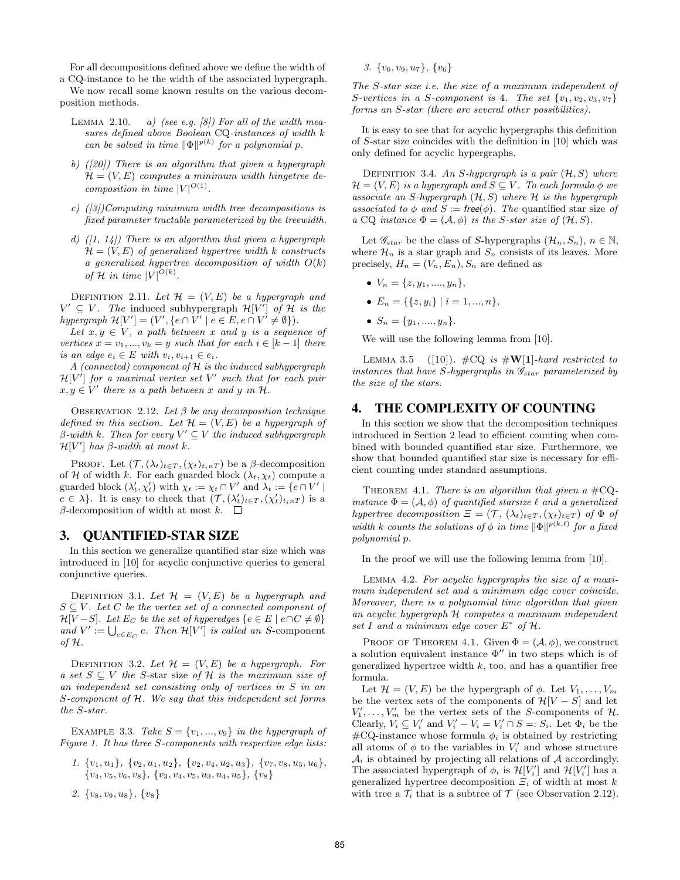For all decompositions defined above we define the width of

a CQ-instance to be the width of the associated hypergraph. We now recall some known results on the various decomposition methods.

- LEMMA 2.10. a) (see e.g.  $\left[\begin{array}{cc}8\end{array}\right]$  For all of the width measures defined above Boolean CQ-instances of width k can be solved in time  $\|\Phi\|^{p(k)}$  for a polynomial p.
- b)  $(20)$  There is an algorithm that given a hypergraph  $\mathcal{H} = (V, E)$  computes a minimum width hingetree decomposition in time  $|V|^{O(1)}$ .
- c)  $(|3|)$ Computing minimum width tree decompositions is fixed parameter tractable parameterized by the treewidth.
- d)  $(1, 14)$  There is an algorithm that given a hypergraph  $\mathcal{H} = (V, E)$  of generalized hypertree width k constructs a generalized hypertree decomposition of width  $O(k)$ of H in time  $|V|^{O(k)}$ .

DEFINITION 2.11. Let  $\mathcal{H} = (V, E)$  be a hypergraph and  $V' \subseteq V$ . The induced subhypergraph  $\mathcal{H}[V']$  of  $\mathcal{H}$  is the hypergraph  $\mathcal{H}[V'] = (V', \{e \cap V' \mid e \in E, e \cap V' \neq \emptyset\}).$ 

Let  $x, y \in V$ , a path between x and y is a sequence of vertices  $x = v_1, ..., v_k = y$  such that for each  $i \in [k-1]$  there is an edge  $e_i \in E$  with  $v_i, v_{i+1} \in e_i$ .

A (connected) component of  $H$  is the induced subhypergraph  $\mathcal{H}[V']$  for a maximal vertex set V' such that for each pair  $x, y \in V'$  there is a path between x and y in  $H$ .

OBSERVATION 2.12. Let  $\beta$  be any decomposition technique defined in this section. Let  $\mathcal{H} = (V, E)$  be a hypergraph of  $\beta$ -width k. Then for every  $V' \subseteq V$  the induced subhypergraph  $\mathcal{H}[V']$  has  $\beta$ -width at most k.

PROOF. Let  $(\mathcal{T},(\lambda_t)_{t\in T},(\chi_t)_{t in T})$  be a  $\beta$ -decomposition of H of width k. For each guarded block  $(\lambda_t, \chi_t)$  compute a guarded block  $(\lambda'_t, \chi'_t)$  with  $\chi_t := \chi_t \cap V'$  and  $\lambda_t := \{e \cap V' \mid$  $e \in \lambda$ . It is easy to check that  $(\mathcal{T}, (\lambda_t')_{t \in T}, (\chi_t')_{t \in T})$  is a β-decomposition of width at most  $k$ .  $\Box$ 

### 3. QUANTIFIED-STAR SIZE

In this section we generalize quantified star size which was introduced in [10] for acyclic conjunctive queries to general conjunctive queries.

DEFINITION 3.1. Let  $\mathcal{H} = (V, E)$  be a hypergraph and  $S \subseteq V$ . Let C be the vertex set of a connected component of  $\mathcal{H}[V-S]$ . Let  $E_C$  be the set of hyperedges  $\{e \in E \mid e \cap C \neq \emptyset\}$ and  $V' := \bigcup_{e \in E_C} e$ . Then  $\mathcal{H}[V']$  is called an S-component of  $H$ .

DEFINITION 3.2. Let  $\mathcal{H} = (V, E)$  be a hypergraph. For a set  $S \subseteq V$  the S-star size of H is the maximum size of an independent set consisting only of vertices in S in an S-component of H. We say that this independent set forms the S-star.

EXAMPLE 3.3. Take  $S = \{v_1, ..., v_9\}$  in the hypergraph of Figure 1. It has three S-components with respective edge lists:

- 1.  $\{v_1, u_1\}$ ,  $\{v_2, u_1, u_2\}$ ,  $\{v_2, v_4, u_2, u_3\}$ ,  $\{v_7, v_8, u_5, u_6\}$ ,  ${v_4, v_5, v_6, v_8}, {v_3, v_4, v_5, u_3, u_4, u_5}, {v_8}$
- 2.  $\{v_8, v_9, u_8\}, \{v_8\}$

3.  $\{v_6, v_9, u_7\}, \{v_6\}$ 

The S-star size i.e. the size of a maximum independent of S-vertices in a S-component is 4. The set  $\{v_1, v_2, v_3, v_7\}$ forms an S-star (there are several other possibilities).

It is easy to see that for acyclic hypergraphs this definition of S-star size coincides with the definition in [10] which was only defined for acyclic hypergraphs.

DEFINITION 3.4. An S-hypergraph is a pair  $(\mathcal{H}, S)$  where  $\mathcal{H} = (V, E)$  is a hypergraph and  $S \subseteq V$ . To each formula  $\phi$  we associate an S-hypergraph  $(H, S)$  where  $H$  is the hypergraph associated to  $\phi$  and  $S := \mathsf{free}(\phi)$ . The quantified star size of a CQ instance  $\Phi = (\mathcal{A}, \phi)$  is the S-star size of  $(\mathcal{H}, S)$ .

Let  $\mathscr{G}_{star}$  be the class of S-hypergraphs  $(\mathcal{H}_n, S_n), n \in \mathbb{N}$ , where  $\mathcal{H}_n$  is a star graph and  $S_n$  consists of its leaves. More precisely,  $H_n = (V_n, E_n), S_n$  are defined as

- $V_n = \{z, y_1, \ldots, y_n\},\,$
- $E_n = \{ \{z, y_i\} \mid i = 1, ..., n \},\$
- $S_n = \{y_1, \ldots, y_n\}.$

We will use the following lemma from [10].

LEMMA 3.5 ([10]).  $\#\text{CQ}$  is  $\#\text{W}[1]$ -hard restricted to instances that have S-hypergraphs in  $\mathscr{G}_{star}$  parameterized by the size of the stars.

# 4. THE COMPLEXITY OF COUNTING

In this section we show that the decomposition techniques introduced in Section 2 lead to efficient counting when combined with bounded quantified star size. Furthermore, we show that bounded quantified star size is necessary for efficient counting under standard assumptions.

THEOREM 4.1. There is an algorithm that given a  $\#\mathrm{CQ}$ instance  $\Phi = (\mathcal{A}, \phi)$  of quantified starsize  $\ell$  and a generalized hypertree decomposition  $\Xi = (\mathcal{T}, (\lambda_t)_{t \in T}, (\chi_t)_{t \in T})$  of  $\Phi$  of width k counts the solutions of  $\phi$  in time  $\|\Phi\|^{p(k,\ell)}$  for a fixed polynomial p.

In the proof we will use the following lemma from [10].

Lemma 4.2. For acyclic hypergraphs the size of a maximum independent set and a minimum edge cover coincide. Moreover, there is a polynomial time algorithm that given an acyclic hypergraph H computes a maximum independent set I and a minimum edge cover  $E^*$  of  $H$ .

PROOF OF THEOREM 4.1. Given  $\Phi = (\mathcal{A}, \phi)$ , we construct a solution equivalent instance  $\Phi''$  in two steps which is of generalized hypertree width  $k$ , too, and has a quantifier free formula.

Let  $\mathcal{H} = (V, E)$  be the hypergraph of  $\phi$ . Let  $V_1, \ldots, V_m$ be the vertex sets of the components of  $\mathcal{H}[V-S]$  and let  $V'_1, \ldots, V'_m$  be the vertex sets of the S-components of  $\mathcal{H}$ . Clearly,  $V_i \subseteq V'_i$  and  $V'_i - V_i = V'_i \cap S =: S_i$ . Let  $\Phi_i$  be the  $\text{\#CQ-instance}$  whose formula  $\phi_i$  is obtained by restricting all atoms of  $\phi$  to the variables in  $V_i'$  and whose structure  $\mathcal{A}_i$  is obtained by projecting all relations of  $\mathcal A$  accordingly. The associated hypergraph of  $\phi_i$  is  $\mathcal{H}[V_i']$  and  $\mathcal{H}[V_i']$  has a generalized hypertree decomposition  $\mathcal{Z}_i$  of width at most k with tree a  $\mathcal{T}_i$  that is a subtree of  $\mathcal{T}$  (see Observation 2.12).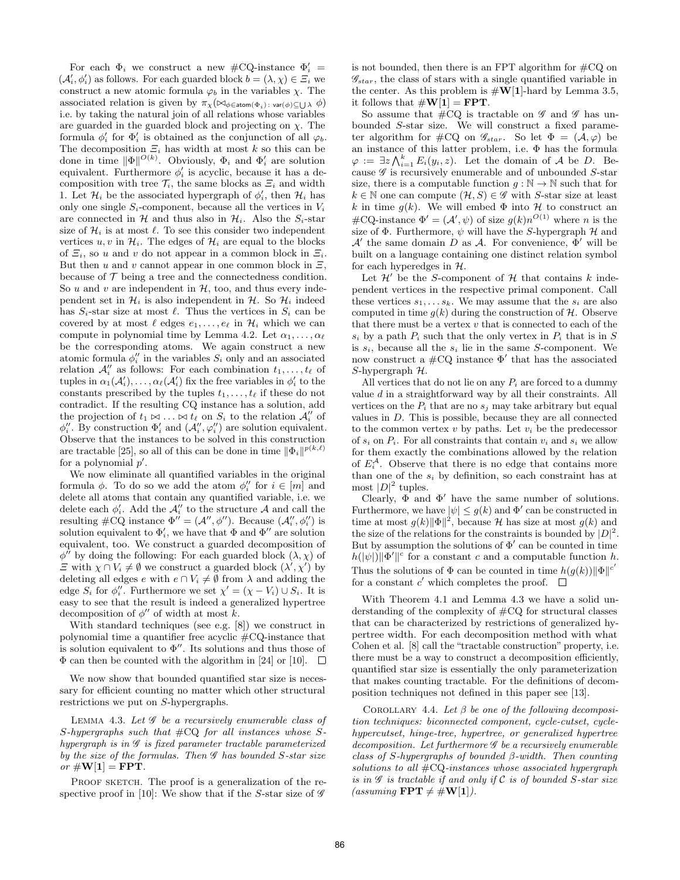For each  $\Phi_i$  we construct a new #CQ-instance  $\Phi'_i$  =  $(\mathcal{A}'_i, \phi'_i)$  as follows. For each guarded block  $b = (\lambda, \chi) \in \Xi_i$  we construct a new atomic formula  $\varphi_b$  in the variables  $\chi$ . The associated relation is given by  $\pi_\chi(\bowtie_{\phi \in \text{atom}(\Phi_i): \text{var}(\phi) \subseteq \bigcup \lambda} \phi)$ i.e. by taking the natural join of all relations whose variables are guarded in the guarded block and projecting on  $\chi$ . The formula  $\phi'_i$  for  $\Phi'_i$  is obtained as the conjunction of all  $\varphi_b$ . The decomposition  $\Xi_i$  has width at most k so this can be done in time  $\|\Phi\|^{O(k)}$ . Obviously,  $\Phi_i$  and  $\Phi'_i$  are solution equivalent. Furthermore  $\phi_i'$  is acyclic, because it has a decomposition with tree  $\mathcal{T}_i$ , the same blocks as  $\mathcal{Z}_i$  and width 1. Let  $\mathcal{H}_i$  be the associated hypergraph of  $\phi'_i$ , then  $\mathcal{H}_i$  has only one single  $S_i$ -component, because all the vertices in  $V_i$ are connected in  $H$  and thus also in  $H_i$ . Also the  $S_i$ -star size of  $\mathcal{H}_i$  is at most  $\ell$ . To see this consider two independent vertices  $u, v$  in  $\mathcal{H}_i$ . The edges of  $\mathcal{H}_i$  are equal to the blocks of  $\Xi_i$ , so u and v do not appear in a common block in  $\Xi_i$ . But then u and v cannot appear in one common block in  $E$ , because of  $\mathcal T$  being a tree and the connectedness condition. So  $u$  and  $v$  are independent in  $H$ , too, and thus every independent set in  $\mathcal{H}_i$  is also independent in  $\mathcal{H}$ . So  $\mathcal{H}_i$  indeed has  $S_i$ -star size at most  $\ell$ . Thus the vertices in  $S_i$  can be covered by at most  $\ell$  edges  $e_1, \ldots, e_\ell$  in  $\mathcal{H}_i$  which we can compute in polynomial time by Lemma 4.2. Let  $\alpha_1, \ldots, \alpha_\ell$ be the corresponding atoms. We again construct a new atomic formula  $\phi''_i$  in the variables  $S_i$  only and an associated relation  $\mathcal{A}_i''$  as follows: For each combination  $t_1, \ldots, t_\ell$  of tuples in  $\alpha_1(\mathcal{A}'_i), \ldots, \alpha_\ell(\mathcal{A}'_i)$  fix the free variables in  $\phi'_i$  to the constants prescribed by the tuples  $t_1, \ldots, t_\ell$  if these do not contradict. If the resulting CQ instance has a solution, add the projection of  $t_1 \bowtie \ldots \bowtie t_\ell$  on  $S_i$  to the relation  $\mathcal{A}''_i$  of  $\phi''_i$ . By construction  $\Phi'_i$  and  $(\mathcal{A}''_i, \varphi''_i)$  are solution equivalent. Observe that the instances to be solved in this construction are tractable [25], so all of this can be done in time  $\|\Phi_i\|^{p(k,\ell)}$ for a polynomial  $p'$ .

We now eliminate all quantified variables in the original formula  $\phi$ . To do so we add the atom  $\phi''_i$  for  $i \in [m]$  and delete all atoms that contain any quantified variable, i.e. we delete each  $\phi'_i$ . Add the  $\mathcal{A}''_i$  to the structure A and call the resulting  $\#\mathrm{CQ}$  instance  $\Phi'' = (\mathcal{A}'', \phi'')$ . Because  $(\mathcal{A}''_i, \phi''_i)$  is solution equivalent to  $\Phi'_i$ , we have that  $\Phi$  and  $\Phi''$  are solution equivalent, too. We construct a guarded decomposition of  $\phi^{\prime\prime}$  by doing the following: For each guarded block  $(\lambda, \chi)$  of  $\Xi$  with  $\chi \cap V_i \neq \emptyset$  we construct a guarded block  $(\lambda', \chi')$  by deleting all edges  $e$  with  $e \cap V_i \neq \emptyset$  from  $\lambda$  and adding the edge  $S_i$  for  $\phi''_i$ . Furthermore we set  $\chi' = (\chi - V_i) \cup S_i$ . It is easy to see that the result is indeed a generalized hypertree decomposition of  $\phi''$  of width at most k.

With standard techniques (see e.g. [8]) we construct in polynomial time a quantifier free acyclic  $\text{\#CQ-instance}$  that is solution equivalent to  $\Phi''$ . Its solutions and thus those of  $\Phi$  can then be counted with the algorithm in [24] or [10].  $\Box$ 

We now show that bounded quantified star size is necessary for efficient counting no matter which other structural restrictions we put on S-hypergraphs.

LEMMA 4.3. Let  $\mathscr G$  be a recursively enumerable class of  $S$ -hypergraphs such that  $\#\mathrm{CQ}$  for all instances whose  $S$ hypergraph is in  $\mathscr G$  is fixed parameter tractable parameterized by the size of the formulas. Then  $\mathscr G$  has bounded S-star size or  $\#\mathbf{W}[1] = \mathbf{FPT}$ .

PROOF SKETCH. The proof is a generalization of the respective proof in [10]: We show that if the S-star size of  $\mathscr G$ 

is not bounded, then there is an FPT algorithm for  $\#CQ$  on  $\mathscr{G}_{star}$ , the class of stars with a single quantified variable in the center. As this problem is  $\sharp \mathbf{W}[1]$ -hard by Lemma 3.5, it follows that  $\#\mathbf{W}[1] = \mathbf{FPT}$ .

So assume that  $\#\mathrm{CQ}$  is tractable on  $\mathscr G$  and  $\mathscr G$  has unbounded S-star size. We will construct a fixed parameter algorithm for #CQ on  $\mathscr{G}_{star}$ . So let  $\Phi = (\mathcal{A}, \varphi)$  be an instance of this latter problem, i.e. Φ has the formula  $\varphi := \exists z \bigwedge_{i=1}^k E_i(y_i, z)$ . Let the domain of A be D. Because  $\mathscr G$  is recursively enumerable and of unbounded S-star size, there is a computable function  $g : \mathbb{N} \to \mathbb{N}$  such that for  $k \in \mathbb{N}$  one can compute  $(\mathcal{H}, S) \in \mathscr{G}$  with S-star size at least k in time  $g(k)$ . We will embed  $\Phi$  into  $\mathcal H$  to construct an #CQ-instance  $\Phi' = (\mathcal{A}', \psi)$  of size  $g(k)n^{O(1)}$  where n is the size of  $\Phi$ . Furthermore,  $\psi$  will have the S-hypergraph  $\mathcal H$  and  $\mathcal{A}'$  the same domain D as  $\mathcal{A}$ . For convenience,  $\Phi'$  will be built on a language containing one distinct relation symbol for each hyperedges in  $H$ .

Let  $\mathcal{H}'$  be the S-component of  $\mathcal H$  that contains k independent vertices in the respective primal component. Call these vertices  $s_1, \ldots s_k$ . We may assume that the  $s_i$  are also computed in time  $g(k)$  during the construction of  $H$ . Observe that there must be a vertex  $v$  that is connected to each of the  $s_i$  by a path  $P_i$  such that the only vertex in  $P_i$  that is in S is  $s_i$ , because all the  $s_i$  lie in the same S-component. We now construct a  $\#CQ$  instance  $\Phi'$  that has the associated S-hypergraph  $H$ .

All vertices that do not lie on any  $P_i$  are forced to a dummy value d in a straightforward way by all their constraints. All vertices on the  $P_i$  that are no  $s_j$  may take arbitrary but equal values in D. This is possible, because they are all connected to the common vertex  $v$  by paths. Let  $v_i$  be the predecessor of  $s_i$  on  $P_i$ . For all constraints that contain  $v_i$  and  $s_i$  we allow for them exactly the combinations allowed by the relation of  $E_i^{\mathcal{A}}$ . Observe that there is no edge that contains more than one of the  $s_i$  by definition, so each constraint has at most  $|D|^2$  tuples.

Clearly,  $\Phi$  and  $\Phi'$  have the same number of solutions. Furthermore, we have  $|\psi| \leq g(k)$  and  $\Phi'$  can be constructed in time at most  $g(k) \|\Phi\|^2$ , because H has size at most  $g(k)$  and the size of the relations for the constraints is bounded by  $|D|^2$ . But by assumption the solutions of  $\Phi'$  can be counted in time  $h(|\psi|) \|\Phi'\|^c$  for a constant c and a computable function h. Thus the solutions of  $\Phi$  can be counted in time  $h(g(k))\|\Phi\|^{c'}$ for a constant  $c'$  which completes the proof.

With Theorem 4.1 and Lemma 4.3 we have a solid understanding of the complexity of #CQ for structural classes that can be characterized by restrictions of generalized hypertree width. For each decomposition method with what Cohen et al. [8] call the "tractable construction" property, i.e. there must be a way to construct a decomposition efficiently, quantified star size is essentially the only parameterization that makes counting tractable. For the definitions of decomposition techniques not defined in this paper see [13].

COROLLARY 4.4. Let  $\beta$  be one of the following decomposition techniques: biconnected component, cycle-cutset, cyclehypercutset, hinge-tree, hypertree, or generalized hypertree  $decomposition.$  Let furthermore  $\mathscr G$  be a recursively enumerable class of S-hypergraphs of bounded β-width. Then counting solutions to all  $\#\mathrm{CQ}$ -instances whose associated hypergraph is in  $\mathscr G$  is tractable if and only if  $\mathscr C$  is of bounded S-star size (assuming  $\text{FPT} \neq #W[1]$ ).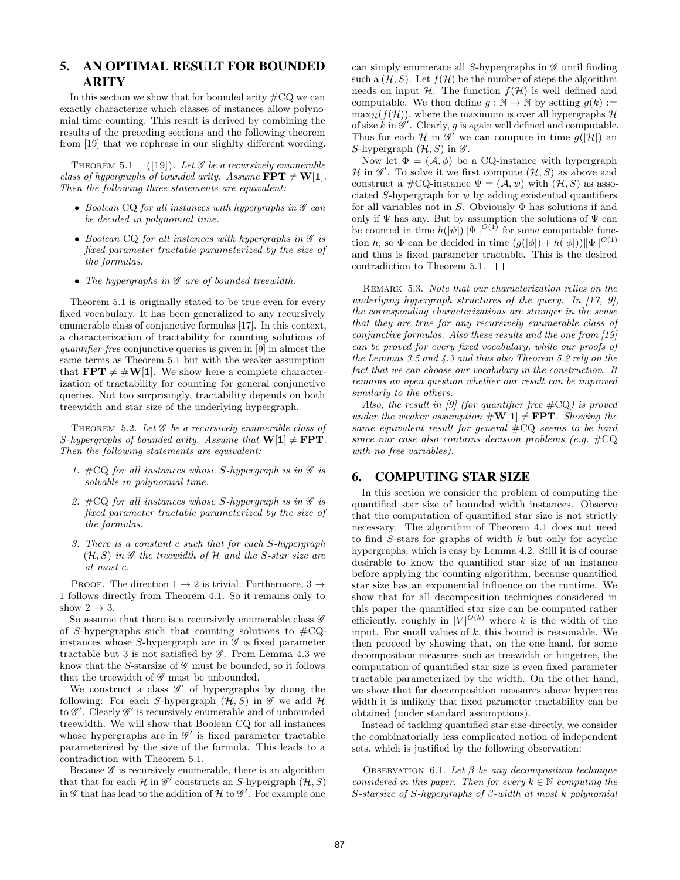# 5. AN OPTIMAL RESULT FOR BOUNDED ARITY

In this section we show that for bounded arity  $\#\mathrm{CQ}$  we can exactly characterize which classes of instances allow polynomial time counting. This result is derived by combining the results of the preceding sections and the following theorem from [19] that we rephrase in our slighlty different wording.

THEOREM 5.1 ([19]). Let  $\mathscr G$  be a recursively enumerable class of hypergraphs of bounded arity. Assume  $\text{FPT} \neq W[1]$ . Then the following three statements are equivalent:

- Boolean CQ for all instances with hypergraphs in  $\mathscr G$  can be decided in polynomial time.
- Boolean CQ for all instances with hypergraphs in  $\mathscr G$  is fixed parameter tractable parameterized by the size of the formulas.
- The hypergraphs in  $\mathscr G$  are of bounded treewidth.

Theorem 5.1 is originally stated to be true even for every fixed vocabulary. It has been generalized to any recursively enumerable class of conjunctive formulas [17]. In this context, a characterization of tractability for counting solutions of quantifier-free conjunctive queries is given in [9] in almost the same terms as Theorem 5.1 but with the weaker assumption that  $\mathbf{FPT} \neq \#W[1]$ . We show here a complete characterization of tractability for counting for general conjunctive queries. Not too surprisingly, tractability depends on both treewidth and star size of the underlying hypergraph.

THEOREM 5.2. Let  $\mathscr G$  be a recursively enumerable class of S-hypergraphs of bounded arity. Assume that  $W[1] \neq FPT$ . Then the following statements are equivalent:

- 1.  $\#\mathrm{CQ}$  for all instances whose S-hypergraph is in  $\mathscr G$  is solvable in polynomial time.
- 2.  $\#\text{CQ}$  for all instances whose S-hypergraph is in  $\mathscr G$  is fixed parameter tractable parameterized by the size of the formulas.
- 3. There is a constant c such that for each S-hypergraph  $(\mathcal{H}, S)$  in  $\mathscr G$  the treewidth of  $\mathcal H$  and the S-star size are at most c.

PROOF. The direction  $1 \rightarrow 2$  is trivial. Furthermore,  $3 \rightarrow$ 1 follows directly from Theorem 4.1. So it remains only to show  $2 \rightarrow 3$ .

So assume that there is a recursively enumerable class  $\mathscr G$ of S-hypergraphs such that counting solutions to  $\#CQ$ instances whose S-hypergraph are in  $\mathscr G$  is fixed parameter tractable but 3 is not satisfied by  $\mathscr G$ . From Lemma 4.3 we know that the S-starsize of  $\mathscr G$  must be bounded, so it follows that the treewidth of  $\mathscr G$  must be unbounded.

We construct a class  $\mathscr{G}'$  of hypergraphs by doing the following: For each S-hypergraph  $(\mathcal{H}, S)$  in  $\mathscr{G}$  we add  $\mathscr{H}$ to  $\mathscr{G}'$ . Clearly  $\mathscr{G}'$  is recursively enumerable and of unbounded treewidth. We will show that Boolean CQ for all instances whose hypergraphs are in  $\mathscr{G}'$  is fixed parameter tractable parameterized by the size of the formula. This leads to a contradiction with Theorem 5.1.

Because  $\mathscr G$  is recursively enumerable, there is an algorithm that that for each  $\mathcal H$  in  $\mathscr G'$  constructs an S-hypergraph  $(\mathcal H, S)$ in  $\mathscr G$  that has lead to the addition of  $\mathcal H$  to  $\mathscr G'$ . For example one

can simply enumerate all S-hypergraphs in  $\mathscr G$  until finding such a  $(\mathcal{H}, S)$ . Let  $f(\mathcal{H})$  be the number of steps the algorithm needs on input  $H$ . The function  $f(H)$  is well defined and computable. We then define  $q : \mathbb{N} \to \mathbb{N}$  by setting  $q(k) :=$  $\max_{\mathcal{H}}(f(\mathcal{H}))$ , where the maximum is over all hypergraphs  $\mathcal{H}$ of size  $k$  in  $\mathscr{G}'$ . Clearly, g is again well defined and computable. Thus for each  $\mathcal H$  in  $\mathscr G'$  we can compute in time  $g(|\mathcal{H}|)$  and S-hypergraph  $(\mathcal{H}, S)$  in  $\mathscr{G}$ .

Now let  $\Phi = (\mathcal{A}, \phi)$  be a CQ-instance with hypergraph  $\mathcal H$  in  $\mathscr G'$ . To solve it we first compute  $(\mathcal H, S)$  as above and construct a  $\#\mathrm{CQ}\text{-instance }\Psi=(\mathcal{A},\psi)$  with  $(\mathcal{H},S)$  as associated S-hypergraph for  $\psi$  by adding existential quantifiers for all variables not in S. Obviously  $\Phi$  has solutions if and only if  $\Psi$  has any. But by assumption the solutions of  $\Psi$  can be counted in time  $h(|\psi|) ||\Psi||^{O(1)}$  for some computable function h, so  $\Phi$  can be decided in time  $(g(|\phi|) + h(|\phi|)) ||\Phi||^{O(1)}$ and thus is fixed parameter tractable. This is the desired contradiction to Theorem 5.1.  $\Box$ 

Remark 5.3. Note that our characterization relies on the underlying hypergraph structures of the query. In  $[17, 9]$ , the corresponding characterizations are stronger in the sense that they are true for any recursively enumerable class of conjunctive formulas. Also these results and the one from [19] can be proved for every fixed vocabulary, while our proofs of the Lemmas 3.5 and 4.3 and thus also Theorem 5.2 rely on the fact that we can choose our vocabulary in the construction. It remains an open question whether our result can be improved similarly to the others.

Also, the result in  $[9]$  (for quantifier free  $\#\text{CQ}$ ) is proved under the weaker assumption  $\#\mathbf{W}[1] \neq \mathbf{FPT}$ . Showing the same equivalent result for general #CQ seems to be hard since our case also contains decision problems (e.g.  $\#\mathrm{CQ}$ ) with no free variables).

## 6. COMPUTING STAR SIZE

In this section we consider the problem of computing the quantified star size of bounded width instances. Observe that the computation of quantified star size is not strictly necessary. The algorithm of Theorem 4.1 does not need to find  $S$ -stars for graphs of width  $k$  but only for acyclic hypergraphs, which is easy by Lemma 4.2. Still it is of course desirable to know the quantified star size of an instance before applying the counting algorithm, because quantified star size has an exponential influence on the runtime. We show that for all decomposition techniques considered in this paper the quantified star size can be computed rather efficiently, roughly in  $|V|^{O(k)}$  where k is the width of the input. For small values of  $k$ , this bound is reasonable. We then proceed by showing that, on the one hand, for some decomposition measures such as treewidth or hingetree, the computation of quantified star size is even fixed parameter tractable parameterized by the width. On the other hand, we show that for decomposition measures above hypertree width it is unlikely that fixed parameter tractability can be obtained (under standard assumptions).

Instead of tackling quantified star size directly, we consider the combinatorially less complicated notion of independent sets, which is justified by the following observation:

OBSERVATION 6.1. Let  $\beta$  be any decomposition technique considered in this paper. Then for every  $k \in \mathbb{N}$  computing the S-starsize of S-hypergraphs of  $\beta$ -width at most k polynomial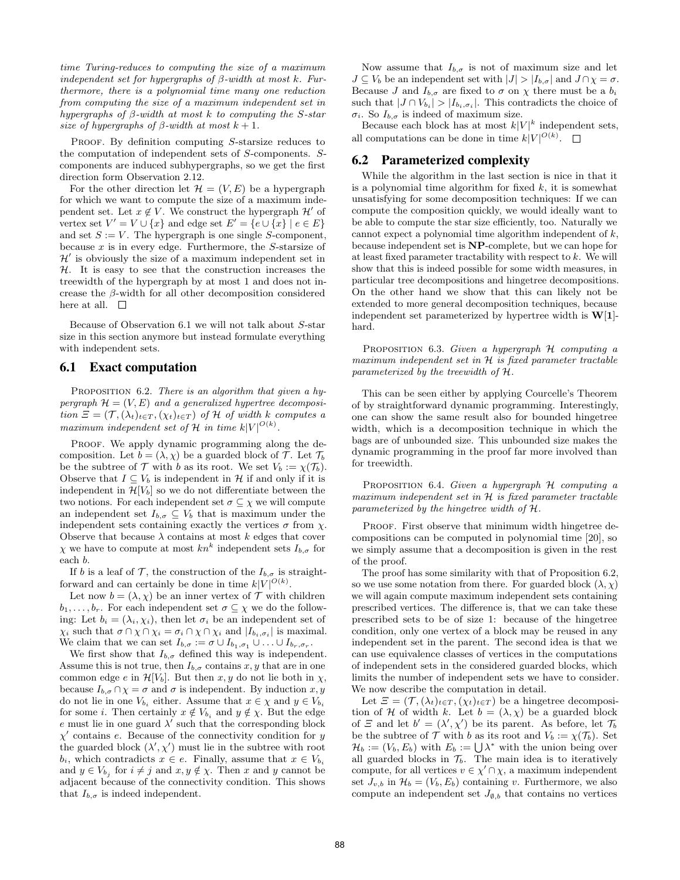time Turing-reduces to computing the size of a maximum independent set for hypergraphs of  $\beta$ -width at most k. Furthermore, there is a polynomial time many one reduction from computing the size of a maximum independent set in hypergraphs of  $\beta$ -width at most k to computing the S-star size of hypergraphs of  $\beta$ -width at most  $k + 1$ .

PROOF. By definition computing S-starsize reduces to the computation of independent sets of S-components. Scomponents are induced subhypergraphs, so we get the first direction form Observation 2.12.

For the other direction let  $\mathcal{H} = (V, E)$  be a hypergraph for which we want to compute the size of a maximum independent set. Let  $x \notin V$ . We construct the hypergraph  $\mathcal{H}'$  of vertex set  $V' = V \cup \{x\}$  and edge set  $E' = \{e \cup \{x\} \mid e \in E\}$ and set  $S := V$ . The hypergraph is one single S-component, because  $x$  is in every edge. Furthermore, the  $S$ -starsize of  $\mathcal{H}'$  is obviously the size of a maximum independent set in  $H$ . It is easy to see that the construction increases the treewidth of the hypergraph by at most 1 and does not increase the β-width for all other decomposition considered here at all.  $\square$ 

Because of Observation 6.1 we will not talk about S-star size in this section anymore but instead formulate everything with independent sets.

#### 6.1 Exact computation

PROPOSITION 6.2. There is an algorithm that given a hypergraph  $\mathcal{H} = (V, E)$  and a generalized hypertree decomposition  $\mathcal{E} = (\mathcal{T}, (\lambda_t)_{t \in T}, (\chi_t)_{t \in T})$  of  $\mathcal{H}$  of width k computes a maximum independent set of  $\mathcal H$  in time  $k|V|^{O(k)}$ .

PROOF. We apply dynamic programming along the decomposition. Let  $b = (\lambda, \chi)$  be a guarded block of T. Let  $\mathcal{T}_b$ be the subtree of  $\mathcal T$  with b as its root. We set  $V_b := \chi(\mathcal T_b)$ . Observe that  $I \subseteq V_b$  is independent in H if and only if it is independent in  $\mathcal{H}[V_b]$  so we do not differentiate between the two notions. For each independent set  $\sigma \subseteq \chi$  we will compute an independent set  $I_{b,\sigma} \subseteq V_b$  that is maximum under the independent sets containing exactly the vertices  $\sigma$  from  $\chi$ . Observe that because  $\lambda$  contains at most k edges that cover  $\chi$  we have to compute at most  $kn^k$  independent sets  $I_{b,\sigma}$  for each b.

If b is a leaf of  $\mathcal{T}$ , the construction of the  $I_{b,\sigma}$  is straightforward and can certainly be done in time  $k|V|^{O(k)}$ .

Let now  $b = (\lambda, \chi)$  be an inner vertex of  $\mathcal T$  with children  $b_1, \ldots, b_r$ . For each independent set  $\sigma \subseteq \chi$  we do the following: Let  $b_i = (\lambda_i, \chi_i)$ , then let  $\sigma_i$  be an independent set of  $\chi_i$  such that  $\sigma \cap \chi \cap \chi_i = \sigma_i \cap \chi \cap \chi_i$  and  $|I_{b_i, \sigma_i}|$  is maximal. We claim that we can set  $I_{b,\sigma} := \sigma \cup I_{b_1,\sigma_1} \cup \ldots \cup I_{b_r,\sigma_r}$ .

We first show that  $I_{b,\sigma}$  defined this way is independent. Assume this is not true, then  $I_{b,\sigma}$  contains  $x, y$  that are in one common edge e in  $\mathcal{H}[V_b]$ . But then x, y do not lie both in  $\chi$ , because  $I_{b,\sigma} \cap \chi = \sigma$  and  $\sigma$  is independent. By induction  $x, y$ do not lie in one  $V_{b_i}$  either. Assume that  $x \in \chi$  and  $y \in V_{b_i}$ for some *i*. Then certainly  $x \notin V_{b_i}$  and  $y \notin \chi$ . But the edge e must lie in one guard  $\lambda'$  such that the corresponding block  $\chi'$  contains e. Because of the connectivity condition for y the guarded block  $(\lambda', \chi')$  must lie in the subtree with root  $b_i$ , which contradicts  $x \in e$ . Finally, assume that  $x \in V_{b_i}$ and  $y \in V_{b_j}$  for  $i \neq j$  and  $x, y \notin \chi$ . Then x and y cannot be adjacent because of the connectivity condition. This shows that  $I_{b,\sigma}$  is indeed independent.

Now assume that  $I_{b,\sigma}$  is not of maximum size and let  $J \subseteq V_b$  be an independent set with  $|J| > |I_{b,\sigma}|$  and  $J \cap \chi = \sigma$ . Because J and  $I_{b,\sigma}$  are fixed to  $\sigma$  on  $\chi$  there must be a  $b_i$ such that  $|J \cap V_{b_i}| > |I_{b_i, \sigma_i}|$ . This contradicts the choice of  $σ<sub>i</sub>$ . So  $I<sub>b,σ</sub>$  is indeed of maximum size.

Because each block has at most  $k|V|^k$  independent sets, all computations can be done in time  $k|V|^{O(k)}$ .

#### 6.2 Parameterized complexity

While the algorithm in the last section is nice in that it is a polynomial time algorithm for fixed  $k$ , it is somewhat unsatisfying for some decomposition techniques: If we can compute the composition quickly, we would ideally want to be able to compute the star size efficiently, too. Naturally we cannot expect a polynomial time algorithm independent of  $k$ , because independent set is NP-complete, but we can hope for at least fixed parameter tractability with respect to  $k$ . We will show that this is indeed possible for some width measures, in particular tree decompositions and hingetree decompositions. On the other hand we show that this can likely not be extended to more general decomposition techniques, because independent set parameterized by hypertree width is  $W[1]$ hard.

PROPOSITION 6.3. Given a hypergraph  $H$  computing a maximum independent set in  $H$  is fixed parameter tractable parameterized by the treewidth of H.

This can be seen either by applying Courcelle's Theorem of by straightforward dynamic programming. Interestingly, one can show the same result also for bounded hingetree width, which is a decomposition technique in which the bags are of unbounded size. This unbounded size makes the dynamic programming in the proof far more involved than for treewidth.

PROPOSITION 6.4. Given a hypergraph H computing a maximum independent set in H is fixed parameter tractable parameterized by the hingetree width of H.

PROOF. First observe that minimum width hingetree decompositions can be computed in polynomial time [20], so we simply assume that a decomposition is given in the rest of the proof.

The proof has some similarity with that of Proposition 6.2, so we use some notation from there. For guarded block  $(\lambda, \chi)$ we will again compute maximum independent sets containing prescribed vertices. The difference is, that we can take these prescribed sets to be of size 1: because of the hingetree condition, only one vertex of a block may be reused in any independent set in the parent. The second idea is that we can use equivalence classes of vertices in the computations of independent sets in the considered guarded blocks, which limits the number of independent sets we have to consider. We now describe the computation in detail.

Let  $\mathcal{Z} = (\mathcal{T}, (\lambda_t)_{t \in T}, (\chi_t)_{t \in T})$  be a hingetree decomposition of H of width k. Let  $b = (\lambda, \chi)$  be a guarded block of  $\Xi$  and let  $b' = (\lambda', \chi')$  be its parent. As before, let  $\mathcal{T}_b$ be the subtree of  $\mathcal T$  with b as its root and  $V_b := \chi(\mathcal T_b)$ . Set  $\mathcal{H}_b := (V_b, E_b)$  with  $E_b := \bigcup \lambda^*$  with the union being over all guarded blocks in  $\mathcal{T}_b$ . The main idea is to iteratively compute, for all vertices  $v \in \chi' \cap \chi$ , a maximum independent set  $J_{v,b}$  in  $\mathcal{H}_b = (V_b, E_b)$  containing v. Furthermore, we also compute an independent set  $J_{\emptyset,b}$  that contains no vertices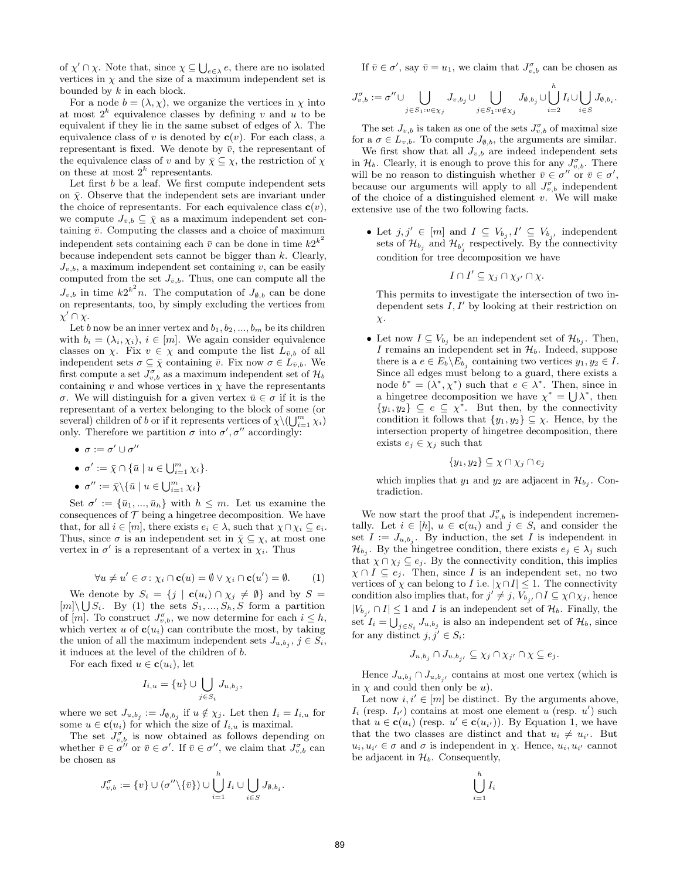of  $\chi' \cap \chi$ . Note that, since  $\chi \subseteq \bigcup_{e \in \lambda} e$ , there are no isolated vertices in  $\chi$  and the size of a maximum independent set is bounded by  $k$  in each block.

For a node  $b = (\lambda, \chi)$ , we organize the vertices in  $\chi$  into at most  $2^k$  equivalence classes by defining v and u to be equivalent if they lie in the same subset of edges of  $\lambda$ . The equivalence class of v is denoted by  $c(v)$ . For each class, a representant is fixed. We denote by  $\bar{v}$ , the representant of the equivalence class of v and by  $\bar{\chi} \subseteq \chi$ , the restriction of  $\chi$ on these at most  $2^k$  representants.

Let first  $b$  be a leaf. We first compute independent sets on  $\bar{\chi}$ . Observe that the independent sets are invariant under the choice of representants. For each equivalence class  $c(v)$ , we compute  $J_{\bar{v},b} \subseteq \bar{\chi}$  as a maximum independent set containing  $\bar{v}$ . Computing the classes and a choice of maximum independent sets containing each  $\bar{v}$  can be done in time  $k2^{k^2}$ because independent sets cannot be bigger than  $k$ . Clearly,  $J_{v,b}$ , a maximum independent set containing v, can be easily computed from the set  $J_{\bar{v},b}$ . Thus, one can compute all the  $J_{v,b}$  in time  $k2^{k^2}n$ . The computation of  $J_{\emptyset,b}$  can be done on representants, too, by simply excluding the vertices from  $\chi' \cap \overline{\chi}$ .

Let b now be an inner vertex and  $b_1, b_2, ..., b_m$  be its children with  $b_i = (\lambda_i, \chi_i), i \in [m]$ . We again consider equivalence classes on  $\chi$ . Fix  $v \in \chi$  and compute the list  $L_{\bar{v},b}$  of all independent sets  $\sigma \subseteq \bar{\chi}$  containing  $\bar{v}$ . Fix now  $\sigma \in L_{\bar{v},b}$ . We first compute a set  $J_{v,b}^{\sigma}$  as a maximum independent set of  $\mathcal{H}_{b}$ containing v and whose vertices in  $\chi$  have the representants σ. We will distinguish for a given vertex  $\bar{u} \in \sigma$  if it is the representant of a vertex belonging to the block of some (or several) children of b or if it represents vertices of  $\chi \setminus (\bigcup_{i=1}^m \chi_i)$ only. Therefore we partition  $\sigma$  into  $\sigma'$ ,  $\sigma''$  accordingly:

- $\bullet\ \sigma:=\sigma'\cup\sigma''$
- $\sigma' := \overline{\chi} \cap {\overline{u} \mid u \in \bigcup_{i=1}^m \chi_i}.$

• 
$$
\sigma'':=\bar{\chi}\backslash\{\bar{u}\mid u\in\bigcup_{i=1}^m\chi_i\}
$$

Set  $\sigma' := {\bar{u}_1, ..., \bar{u}_h}$  with  $h \leq m$ . Let us examine the consequences of  $\mathcal T$  being a hingetree decomposition. We have that, for all  $i \in [m]$ , there exists  $e_i \in \lambda$ , such that  $\chi \cap \chi_i \subseteq e_i$ . Thus, since  $\sigma$  is an independent set in  $\bar{\chi} \subseteq \chi$ , at most one vertex in  $\sigma'$  is a representant of a vertex in  $\chi_i$ . Thus

$$
\forall u \neq u' \in \sigma : \chi_i \cap \mathbf{c}(u) = \emptyset \vee \chi_i \cap \mathbf{c}(u') = \emptyset. \tag{1}
$$

We denote by  $S_i = \{j \mid \mathbf{c}(u_i) \cap \chi_j \neq \emptyset\}$  and by  $S =$  $[m] \setminus \bigcup S_i$ . By (1) the sets  $S_1, ..., S_h, S$  form a partition of  $[m]$ . To construct  $J_{v,b}^{\sigma}$ , we now determine for each  $i \leq h$ , which vertex u of  $c(u_i)$  can contribute the most, by taking the union of all the maximum independent sets  $J_{u,b_j}$ ,  $j \in S_i$ , it induces at the level of the children of b.

For each fixed  $u \in \mathbf{c}(u_i)$ , let

$$
I_{i,u} = \{u\} \cup \bigcup_{j \in S_i} J_{u,b_j},
$$

where we set  $J_{u,b_j} := J_{\emptyset,b_j}$  if  $u \notin \chi_j$ . Let then  $I_i = I_{i,u}$  for some  $u \in \mathbf{c}(u_i)$  for which the size of  $I_{i,u}$  is maximal.

The set  $J_{v,b}^{\sigma}$  is now obtained as follows depending on whether  $\bar{v} \in \sigma''$  or  $\bar{v} \in \sigma'$ . If  $\bar{v} \in \sigma''$ , we claim that  $J_{v,b}^{\sigma}$  can be chosen as

$$
J_{v,b}^{\sigma} := \{v\} \cup (\sigma'' \setminus \{\overline{v}\}) \cup \bigcup_{i=1}^{h} I_i \cup \bigcup_{i \in S} J_{\emptyset,b_i}.
$$

If  $\bar{v} \in \sigma'$ , say  $\bar{v} = u_1$ , we claim that  $J_{v,b}^{\sigma}$  can be chosen as

$$
J_{v,b}^{\sigma}:=\sigma''\cup \bigcup_{j\in S_1:v\in\chi_j}J_{v,b_j}\cup \bigcup_{j\in S_1:v\notin\chi_j}J_{\emptyset,b_j}\cup \bigcup_{i=2}^h I_i\cup \bigcup_{i\in S}J_{\emptyset,b_i}.
$$

The set  $J_{v,b}$  is taken as one of the sets  $J_{v,b}^{\sigma}$  of maximal size for a  $\sigma \in L_{v,b}$ . To compute  $J_{\emptyset,b}$ , the arguments are similar.

We first show that all  $J_{v,b}$  are indeed independent sets in  $\mathcal{H}_b$ . Clearly, it is enough to prove this for any  $J_{v,b}^{\sigma}$ . There will be no reason to distinguish whether  $\bar{v} \in \sigma''$  or  $\bar{v} \in \sigma'$ , because our arguments will apply to all  $J_{v,b}^{\sigma}$  independent of the choice of a distinguished element  $v$ . We will make extensive use of the two following facts.

• Let  $j, j' \in [m]$  and  $I \subseteq V_{b_j}, I' \subseteq V_{b_{j'}}$  independent sets of  $\mathcal{H}_{b_j}$  and  $\mathcal{H}_{b'_j}$  respectively. By the connectivity condition for tree decomposition we have

$$
I\cap I'\subseteq \chi_j\cap \chi_{j'}\cap \chi.
$$

This permits to investigate the intersection of two independent sets  $I, I'$  by looking at their restriction on  $\chi$ .

• Let now  $I \subseteq V_{b_j}$  be an independent set of  $\mathcal{H}_{b_j}$ . Then, I remains an independent set in  $\mathcal{H}_b$ . Indeed, suppose there is a  $e \in E_b \backslash E_{b_j}$  containing two vertices  $y_1, y_2 \in I$ . Since all edges must belong to a guard, there exists a node  $b^* = (\lambda^*, \chi^*)$  such that  $e \in \lambda^*$ . Then, since in a hingetree decomposition we have  $\chi^* = \bigcup \lambda^*$ , then  $\{y_1, y_2\} \subseteq e \subseteq \chi^*$ . But then, by the connectivity condition it follows that  $\{y_1, y_2\} \subseteq \chi$ . Hence, by the intersection property of hingetree decomposition, there exists  $e_j \in \chi_j$  such that

$$
\{y_1, y_2\} \subseteq \chi \cap \chi_j \cap e_j
$$

which implies that  $y_1$  and  $y_2$  are adjacent in  $\mathcal{H}_{b_j}$ . Contradiction.

We now start the proof that  $J_{v,b}^{\sigma}$  is independent incrementally. Let  $i \in [h]$ ,  $u \in \mathbf{c}(u_i)$  and  $j \in S_i$  and consider the set  $I := J_{u,b_j}$ . By induction, the set I is independent in  $\mathcal{H}_{b_j}$ . By the hingetree condition, there exists  $e_j \in \lambda_j$  such that  $\chi \cap \chi_j \subseteq e_j$ . By the connectivity condition, this implies  $\chi \cap I \subseteq e_j$ . Then, since I is an independent set, no two vertices of  $\chi$  can belong to I i.e.  $|\chi \cap I| \leq 1$ . The connectivity condition also implies that, for  $j' \neq j$ ,  $V_{b_{j'}} \cap I \subseteq \chi \cap \chi_j$ , hence  $|V_{b_{j'}} \cap I| \leq 1$  and I is an independent set of  $\mathcal{H}_b$ . Finally, the set  $I_i = \bigcup_{j \in S_i} J_{u,b_j}$  is also an independent set of  $\mathcal{H}_b$ , since for any distinct  $j, j' \in S_i$ :

$$
J_{u,b_j} \cap J_{u,b_{j'}} \subseteq \chi_j \cap \chi_{j'} \cap \chi \subseteq e_j.
$$

Hence  $J_{u,b_j} \cap J_{u,b_{j'}}$  contains at most one vertex (which is in  $\chi$  and could then only be u).

Let now  $i, i' \in [m]$  be distinct. By the arguments above,  $I_i$  (resp.  $I_{i'}$ ) contains at most one element u (resp. u') such that  $u \in \mathbf{c}(u_i)$  (resp.  $u' \in \mathbf{c}(u_{i'})$ ). By Equation 1, we have that the two classes are distinct and that  $u_i \neq u_{i'}$ . But  $u_i, u_{i'} \in \sigma$  and  $\sigma$  is independent in  $\chi$ . Hence,  $u_i, u_{i'}$  cannot be adjacent in  $\mathcal{H}_b$ . Consequently,

$$
\bigcup_{i=1}^h I_i
$$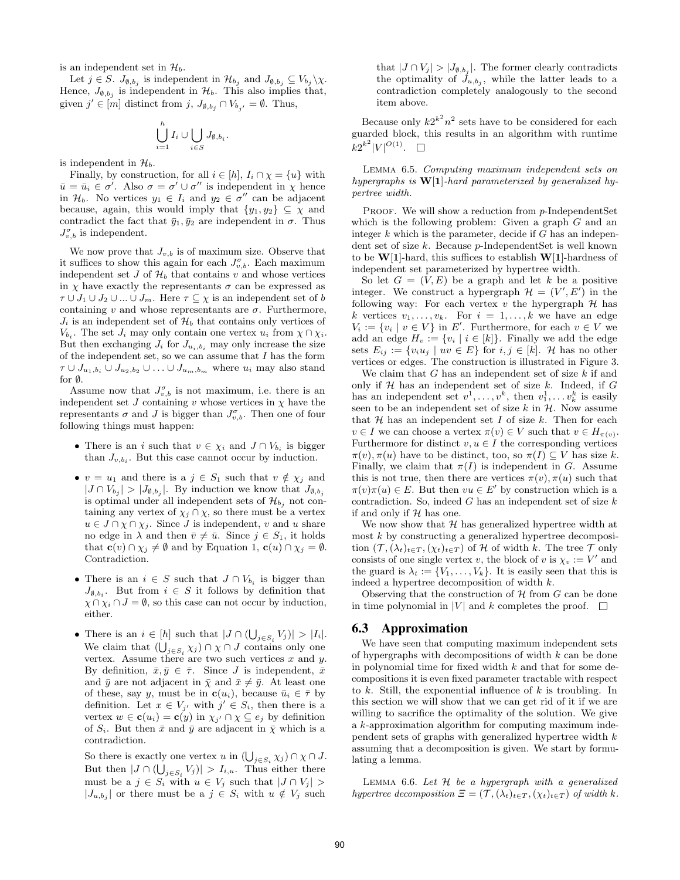is an independent set in  $\mathcal{H}_b$ .

Let  $j \in S$ .  $J_{\emptyset, b_j}$  is independent in  $\mathcal{H}_{b_j}$  and  $J_{\emptyset, b_j} \subseteq V_{b_j} \setminus \chi$ . Hence,  $J_{\emptyset, b_j}$  is independent in  $\mathcal{H}_b$ . This also implies that, given  $j' \in [m]$  distinct from  $j, J_{\emptyset, b_j} \cap V_{b_{j'}} = \emptyset$ . Thus,

$$
\bigcup_{i=1}^h I_i \cup \bigcup_{i \in S} J_{\emptyset, b_i}.
$$

is independent in  $\mathcal{H}_b$ .

Finally, by construction, for all  $i \in [h]$ ,  $I_i \cap \chi = \{u\}$  with  $\bar{u} = \bar{u}_i \in \sigma'$ . Also  $\sigma = \sigma' \cup \sigma''$  is independent in  $\chi$  hence in  $\mathcal{H}_b$ . No vertices  $y_1 \in I_i$  and  $y_2 \in \sigma''$  can be adjacent because, again, this would imply that  $\{y_1, y_2\} \subseteq \chi$  and contradict the fact that  $\bar{y}_1, \bar{y}_2$  are independent in  $\sigma$ . Thus  $J_{v,b}^{\sigma}$  is independent.

We now prove that  $J_{v,b}$  is of maximum size. Observe that it suffices to show this again for each  $J_{v,b}^{\sigma}$ . Each maximum independent set  $J$  of  $\mathcal{H}_b$  that contains  $v$  and whose vertices in  $\chi$  have exactly the representants  $\sigma$  can be expressed as  $\tau \cup J_1 \cup J_2 \cup ... \cup J_m$ . Here  $\tau \subseteq \chi$  is an independent set of b containing  $v$  and whose representants are  $\sigma$ . Furthermore,  $J_i$  is an independent set of  $\mathcal{H}_b$  that contains only vertices of  $V_{b_i}$ . The set  $J_i$  may only contain one vertex  $u_i$  from  $\chi \cap \chi_i$ . But then exchanging  $J_i$  for  $J_{u_i,b_i}$  may only increase the size of the independent set, so we can assume that  $I$  has the form  $\tau \cup J_{u_1,b_i} \cup J_{u_2,b_2} \cup \ldots \cup J_{u_m,b_m}$  where  $u_i$  may also stand for ∅.

Assume now that  $J_{v,b}^{\sigma}$  is not maximum, i.e. there is an independent set  $J$  containing  $v$  whose vertices in  $\chi$  have the representants  $\sigma$  and J is bigger than  $J_{v,b}^{\sigma}$ . Then one of four following things must happen:

- There is an *i* such that  $v \in \chi_i$  and  $J \cap V_{b_i}$  is bigger than  $J_{v,b_i}$ . But this case cannot occur by induction.
- $v = u_1$  and there is a  $j \in S_1$  such that  $v \notin \chi_j$  and  $|J \cap V_{b_j}| > |J_{\emptyset,b_j}|$ . By induction we know that  $J_{\emptyset,b_j}$ is optimal under all independent sets of  $\mathcal{H}_{b_j}$  not containing any vertex of  $\chi_j \cap \chi$ , so there must be a vertex  $u \in J \cap \chi \cap \chi_j$ . Since J is independent, v and u share no edge in  $\lambda$  and then  $\bar{v} \neq \bar{u}$ . Since  $j \in S_1$ , it holds that  $\mathbf{c}(v) \cap \chi_j \neq \emptyset$  and by Equation 1,  $\mathbf{c}(u) \cap \chi_j = \emptyset$ . Contradiction.
- There is an  $i \in S$  such that  $J \cap V_{b_i}$  is bigger than  $J_{\emptyset,b_i}$ . But from  $i \in S$  it follows by definition that  $\chi \cap \chi_i \cap J = \emptyset$ , so this case can not occur by induction, either.
- There is an  $i \in [h]$  such that  $|J \cap (\bigcup_{j \in S_i} V_j)| > |I_i|$ . We claim that  $(\bigcup_{j\in S_i}\chi_j)\cap \chi\cap J$  contains only one vertex. Assume there are two such vertices  $x$  and  $y$ . By definition,  $\bar{x}, \bar{y} \in \bar{\tau}$ . Since J is independent,  $\bar{x}$ and  $\bar{y}$  are not adjacent in  $\bar{\chi}$  and  $\bar{x} \neq \bar{y}$ . At least one of these, say y, must be in  $\mathbf{c}(u_i)$ , because  $\bar{u}_i \in \bar{\tau}$  by definition. Let  $x \in V_{j'}$  with  $j' \in S_i$ , then there is a vertex  $w \in \mathbf{c}(u_i) = \mathbf{c}(y)$  in  $\chi_{j'} \cap \chi \subseteq e_j$  by definition of  $S_i$ . But then  $\bar{x}$  and  $\bar{y}$  are adjacent in  $\bar{\chi}$  which is a contradiction.

So there is exactly one vertex  $u$  in  $(\bigcup_{j\in S_i} \chi_j) \cap \chi \cap J$ . But then  $|J \cap (\bigcup_{j \in S_i} V_j)| > I_{i,u}$ . Thus either there must be a  $j \in S_i$  with  $u \in V_j$  such that  $|J \cap V_j| >$  $|J_{u,b_j}|$  or there must be a  $j \in S_i$  with  $u \notin V_j$  such

that  $|J \cap V_j| > |J_{\emptyset, b_j}|$ . The former clearly contradicts the optimality of  $\tilde{J}_{u,b_j}$ , while the latter leads to a contradiction completely analogously to the second item above.

Because only  $k2^{k^2}n^2$  sets have to be considered for each guarded block, this results in an algorithm with runtime  $k2^{k^2}|V|^{O(1)}$ .

Lemma 6.5. Computing maximum independent sets on hypergraphs is  $W[1]$ -hard parameterized by generalized hypertree width.

PROOF. We will show a reduction from p-IndependentSet which is the following problem: Given a graph  $G$  and an integer  $k$  which is the parameter, decide if  $G$  has an independent set of size k. Because p-IndependentSet is well known to be  $W[1]$ -hard, this suffices to establish  $W[1]$ -hardness of independent set parameterized by hypertree width.

So let  $G = (V, E)$  be a graph and let k be a positive integer. We construct a hypergraph  $\mathcal{H} = (V', E')$  in the following way: For each vertex  $v$  the hypergraph  $H$  has k vertices  $v_1, \ldots, v_k$ . For  $i = 1, \ldots, k$  we have an edge  $V_i := \{v_i \mid v \in V\}$  in E'. Furthermore, for each  $v \in V$  we add an edge  $H_v := \{v_i \mid i \in [k]\}\.$  Finally we add the edge sets  $E_{ij} := \{v_i u_j \mid uv \in E\}$  for  $i, j \in [k]$ . H has no other vertices or edges. The construction is illustrated in Figure 3.

We claim that  $G$  has an independent set of size  $k$  if and only if  $H$  has an independent set of size  $k$ . Indeed, if  $G$ has an independent set  $v^1, \ldots, v^k$ , then  $v_1^1, \ldots, v_k^k$  is easily seen to be an independent set of size  $k$  in  $H$ . Now assume that  $H$  has an independent set  $I$  of size  $k$ . Then for each  $v \in I$  we can choose a vertex  $\pi(v) \in V$  such that  $v \in H_{\pi(v)}$ . Furthermore for distinct  $v, u \in I$  the corresponding vertices  $\pi(v), \pi(u)$  have to be distinct, too, so  $\pi(I) \subseteq V$  has size k. Finally, we claim that  $\pi(I)$  is independent in G. Assume this is not true, then there are vertices  $\pi(v)$ ,  $\pi(u)$  such that  $\pi(v)\pi(u) \in E$ . But then  $vu \in E'$  by construction which is a contradiction. So, indeed  $G$  has an independent set of size  $k$ if and only if  $H$  has one.

We now show that  $H$  has generalized hypertree width at most  $k$  by constructing a generalized hypertree decomposition  $(\mathcal{T},(\lambda_t)_{t\in T},(\chi_t)_{t\in T})$  of  $\mathcal H$  of width k. The tree  $\mathcal T$  only consists of one single vertex v, the block of v is  $\chi_v := V'$  and the guard is  $\lambda_t := \{V_1, \ldots, V_k\}$ . It is easily seen that this is indeed a hypertree decomposition of width k.

Observing that the construction of  $\mathcal H$  from  $G$  can be done in time polynomial in |V| and k completes the proof.  $\square$ 

#### 6.3 Approximation

We have seen that computing maximum independent sets of hypergraphs with decompositions of width  $k$  can be done in polynomial time for fixed width  $k$  and that for some decompositions it is even fixed parameter tractable with respect to  $k$ . Still, the exponential influence of  $k$  is troubling. In this section we will show that we can get rid of it if we are willing to sacrifice the optimality of the solution. We give a k-approximation algorithm for computing maximum independent sets of graphs with generalized hypertree width k assuming that a decomposition is given. We start by formulating a lemma.

LEMMA 6.6. Let  $H$  be a hypergraph with a generalized hypertree decomposition  $\Xi = (\mathcal{T}, (\lambda_t)_{t \in T}, (\chi_t)_{t \in T})$  of width k.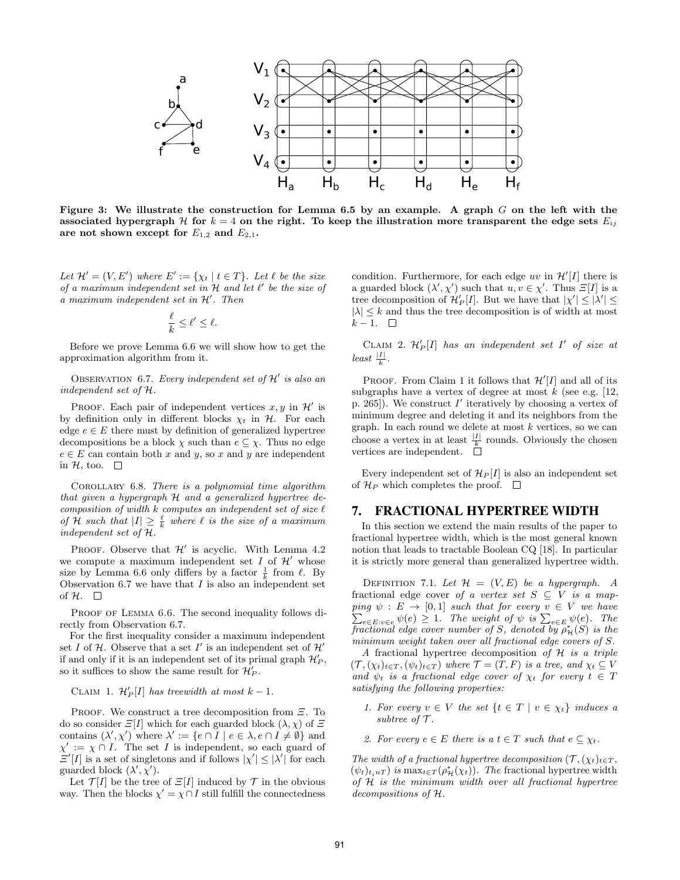

Figure 3: We illustrate the construction for Lemma 6.5 by an example. A graph  $G$  on the left with the associated hypergraph H for  $k = 4$  on the right. To keep the illustration more transparent the edge sets  $E_{ij}$ are not shown except for  $E_{1,2}$  and  $E_{2,1}$ .

Let  $\mathcal{H}' = (V, E')$  where  $E' := \{ \chi_t \mid t \in T \}$ . Let  $\ell$  be the size of a maximum independent set in  $H$  and let  $\ell'$  be the size of  $a$  maximum independent set in  $H'$ . Then

$$
\frac{\ell}{k} \leq \ell' \leq \ell.
$$

Before we prove Lemma 6.6 we will show how to get the approximation algorithm from it.

OBSERVATION 6.7. Every independent set of  $\mathcal{H}'$  is also an independent set of H.

PROOF. Each pair of independent vertices  $x, y$  in  $\mathcal{H}'$  is by definition only in different blocks  $\chi_t$  in  $\mathcal{H}$ . For each edge  $e \in E$  there must by definition of generalized hypertree decompositions be a block  $\chi$  such than  $e \subseteq \chi$ . Thus no edge  $e \in E$  can contain both x and y, so x and y are independent in  $H$ , too.  $\Box$ 

Corollary 6.8. There is a polynomial time algorithm that given a hypergraph H and a generalized hypertree decomposition of width  $k$  computes an independent set of size  $\ell$ of H such that  $|I| \geq \frac{\ell}{k}$  where  $\ell$  is the size of a maximum independent set of H.

PROOF. Observe that  $\mathcal{H}'$  is acyclic. With Lemma 4.2 we compute a maximum independent set I of  $\mathcal{H}'$  whose size by Lemma 6.6 only differs by a factor  $\frac{1}{k}$  from  $\ell$ . By Observation 6.7 we have that  $I$  is also an independent set of  $H$ .  $\Box$ 

PROOF OF LEMMA 6.6. The second inequality follows directly from Observation 6.7.

For the first inequality consider a maximum independent set I of H. Observe that a set I' is an independent set of  $\mathcal{H}'$ if and only if it is an independent set of its primal graph  $\mathcal{H}'_P$ , so it suffices to show the same result for  $\mathcal{H}'_P$ .

CLAIM 1.  $\mathcal{H}'_P[I]$  has treewidth at most  $k-1$ .

PROOF. We construct a tree decomposition from  $\Xi$ . To do so consider  $\mathbb{E}[I]$  which for each guarded block  $(\lambda, \chi)$  of  $\mathbb{E}[I]$ contains  $(\lambda', \chi')$  where  $\lambda' := \{e \cap I \mid e \in \lambda, e \cap I \neq \emptyset\}$  and  $\chi' := \chi \cap I$ . The set I is independent, so each guard of  $\mathcal{Z}'[I]$  is a set of singletons and if follows  $|\chi'| \leq |\lambda'|$  for each guarded block  $(\lambda', \chi')$ .

Let  $\mathcal{T}[I]$  be the tree of  $\mathcal{Z}[I]$  induced by  $\mathcal T$  in the obvious way. Then the blocks  $\chi' = \chi \cap I$  still fulfill the connectedness

condition. Furthermore, for each edge uv in  $\mathcal{H}'[I]$  there is a guarded block  $(\lambda', \chi')$  such that  $u, v \in \chi'$ . Thus  $\mathcal{E}[I]$  is a tree decomposition of  $\mathcal{H}'_P[I]$ . But we have that  $|\chi'| \leq |\lambda'| \leq$  $|\lambda| \leq k$  and thus the tree decomposition is of width at most  $k-1.$  □

CLAIM 2.  $\mathcal{H}'_P[I]$  has an independent set  $I'$  of size at  $least \frac{|I|}{k}.$ 

PROOF. From Claim 1 it follows that  $\mathcal{H}'[I]$  and all of its subgraphs have a vertex of degree at most  $k$  (see e.g. [12, p. 265]). We construct  $I'$  iteratively by choosing a vertex of minimum degree and deleting it and its neighbors from the graph. In each round we delete at most k vertices, so we can choose a vertex in at least  $\frac{|I|}{k}$  rounds. Obviously the chosen vertices are independent.

Every independent set of  $\mathcal{H}_P[I]$  is also an independent set of  $\mathcal{H}_P$  which completes the proof.  $\Box$ 

## 7. FRACTIONAL HYPERTREE WIDTH

In this section we extend the main results of the paper to fractional hypertree width, which is the most general known notion that leads to tractable Boolean CQ [18]. In particular it is strictly more general than generalized hypertree width.

DEFINITION 7.1. Let  $\mathcal{H} = (V, E)$  be a hypergraph. A fractional edge cover of a vertex set  $S \subseteq V$  is a mapping P  $\psi: E \to [0,1]$  such that for every  $v \in V$  we have  $e \in E: v \in e} \psi(e) \geq 1$ . The weight of  $\psi$  is  $\sum_{e \in E} \psi(e)$ . The fractional edge cover number of S, denoted by  $\rho^*_{\mathcal{H}}(S)$  is the minimum weight taken over all fractional edge covers of S.

A fractional hypertree decomposition of  $H$  is a triple  $(\mathcal{T},(\chi_t)_{t\in T},(\psi_t)_{t\in T})$  where  $\mathcal{T}=(T,F)$  is a tree, and  $\chi_t\subseteq V$ and  $\psi_t$  is a fractional edge cover of  $\chi_t$  for every  $t \in T$ satisfying the following properties:

- 1. For every  $v \in V$  the set  $\{t \in T \mid v \in \chi_t\}$  induces a subtree of  $\mathcal T$ .
- 2. For every  $e \in E$  there is a  $t \in T$  such that  $e \subseteq \chi_t$ .

The width of a fractional hypertree decomposition  $(\mathcal{T},(\chi_t)_{t\in T},$  $(\psi_t)_{t_i nT}$  is  $\max_{t \in T} (\rho_{\mathcal{H}}^*(\chi_t))$ . The fractional hypertree width of  $H$  is the minimum width over all fractional hypertree decompositions of H.